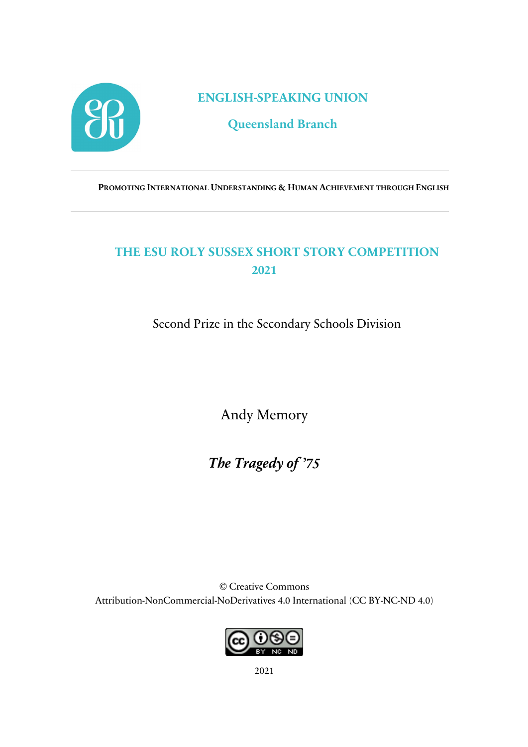

**ENGLISH-SPEAKING UNION**

**Queensland Branch**

**PROMOTING INTERNATIONAL UNDERSTANDING & HUMAN ACHIEVEMENT THROUGH ENGLISH**

## **THE ESU ROLY SUSSEX SHORT STORY COMPETITION 2021**

Second Prize in the Secondary Schools Division

Andy Memory

*The Tragedy of '75*

© Creative Commons Attribution-NonCommercial-NoDerivatives 4.0 International (CC BY-NC-ND 4.0)



2021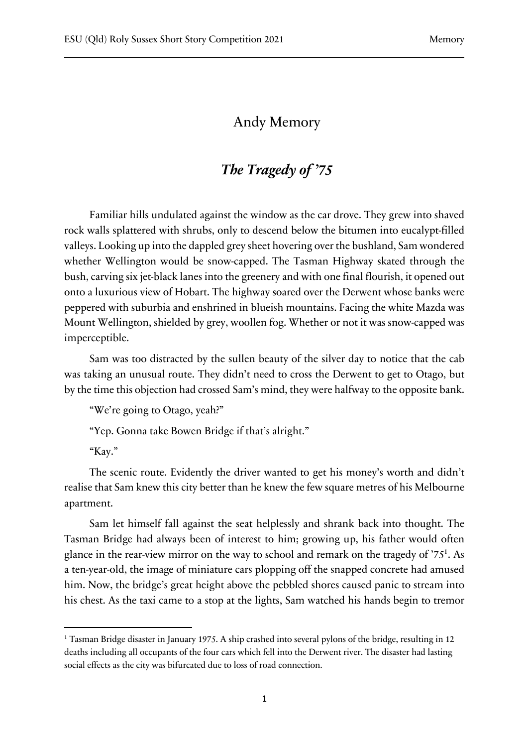## Andy Memory

## *The Tragedy of '75*

Familiar hills undulated against the window as the car drove. They grew into shaved rock walls splattered with shrubs, only to descend below the bitumen into eucalypt-filled valleys. Looking up into the dappled grey sheet hovering over the bushland, Sam wondered whether Wellington would be snow-capped. The Tasman Highway skated through the bush, carving six jet-black lanes into the greenery and with one final flourish, it opened out onto a luxurious view of Hobart. The highway soared over the Derwent whose banks were peppered with suburbia and enshrined in blueish mountains. Facing the white Mazda was Mount Wellington, shielded by grey, woollen fog. Whether or not it was snow-capped was imperceptible.

Sam was too distracted by the sullen beauty of the silver day to notice that the cab was taking an unusual route. They didn't need to cross the Derwent to get to Otago, but by the time this objection had crossed Sam's mind, they were halfway to the opposite bank.

"We're going to Otago, yeah?"

"Yep. Gonna take Bowen Bridge if that's alright."

"Kay."

The scenic route. Evidently the driver wanted to get his money's worth and didn't realise that Sam knew this city better than he knew the few square metres of his Melbourne apartment.

Sam let himself fall against the seat helplessly and shrank back into thought. The Tasman Bridge had always been of interest to him; growing up, his father would often glance in the rear-view mirror on the way to school and remark on the tragedy of '751. As a ten-year-old, the image of miniature cars plopping off the snapped concrete had amused him. Now, the bridge's great height above the pebbled shores caused panic to stream into his chest. As the taxi came to a stop at the lights, Sam watched his hands begin to tremor

<sup>&</sup>lt;sup>1</sup> Tasman Bridge disaster in January 1975. A ship crashed into several pylons of the bridge, resulting in 12 deaths including all occupants of the four cars which fell into the Derwent river. The disaster had lasting social effects as the city was bifurcated due to loss of road connection.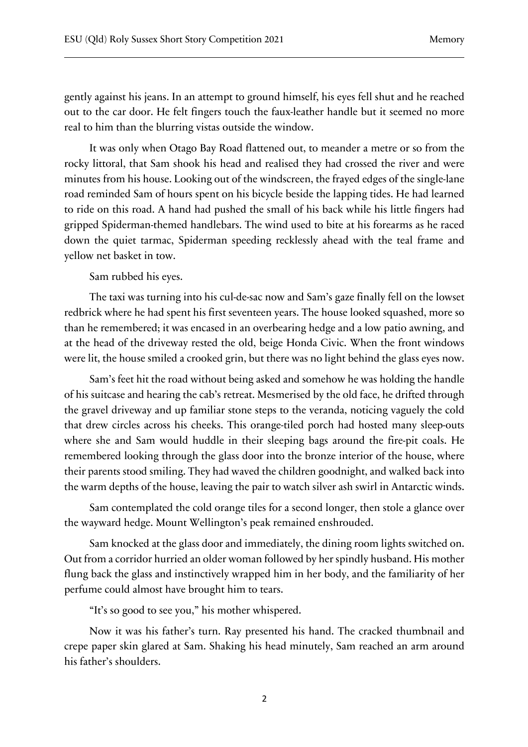gently against his jeans. In an attempt to ground himself, his eyes fell shut and he reached out to the car door. He felt fingers touch the faux-leather handle but it seemed no more real to him than the blurring vistas outside the window.

It was only when Otago Bay Road flattened out, to meander a metre or so from the rocky littoral, that Sam shook his head and realised they had crossed the river and were minutes from his house. Looking out of the windscreen, the frayed edges of the single-lane road reminded Sam of hours spent on his bicycle beside the lapping tides. He had learned to ride on this road. A hand had pushed the small of his back while his little fingers had gripped Spiderman-themed handlebars. The wind used to bite at his forearms as he raced down the quiet tarmac, Spiderman speeding recklessly ahead with the teal frame and yellow net basket in tow.

Sam rubbed his eyes.

The taxi was turning into his cul-de-sac now and Sam's gaze finally fell on the lowset redbrick where he had spent his first seventeen years. The house looked squashed, more so than he remembered; it was encased in an overbearing hedge and a low patio awning, and at the head of the driveway rested the old, beige Honda Civic. When the front windows were lit, the house smiled a crooked grin, but there was no light behind the glass eyes now.

Sam's feet hit the road without being asked and somehow he was holding the handle of his suitcase and hearing the cab's retreat. Mesmerised by the old face, he drifted through the gravel driveway and up familiar stone steps to the veranda, noticing vaguely the cold that drew circles across his cheeks. This orange-tiled porch had hosted many sleep-outs where she and Sam would huddle in their sleeping bags around the fire-pit coals. He remembered looking through the glass door into the bronze interior of the house, where their parents stood smiling. They had waved the children goodnight, and walked back into the warm depths of the house, leaving the pair to watch silver ash swirl in Antarctic winds.

Sam contemplated the cold orange tiles for a second longer, then stole a glance over the wayward hedge. Mount Wellington's peak remained enshrouded.

Sam knocked at the glass door and immediately, the dining room lights switched on. Out from a corridor hurried an older woman followed by her spindly husband. His mother flung back the glass and instinctively wrapped him in her body, and the familiarity of her perfume could almost have brought him to tears.

"It's so good to see you," his mother whispered.

Now it was his father's turn. Ray presented his hand. The cracked thumbnail and crepe paper skin glared at Sam. Shaking his head minutely, Sam reached an arm around his father's shoulders.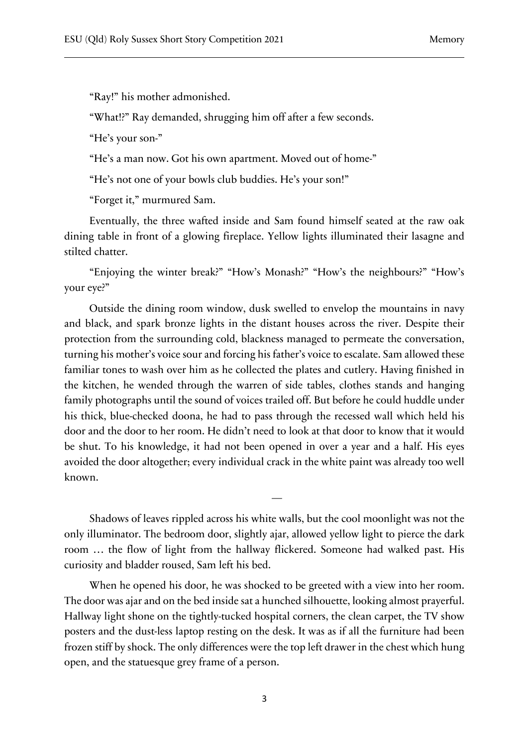"Ray!" his mother admonished.

"What!?" Ray demanded, shrugging him off after a few seconds.

"He's your son-"

"He's a man now. Got his own apartment. Moved out of home-"

"He's not one of your bowls club buddies. He's your son!"

"Forget it," murmured Sam.

Eventually, the three wafted inside and Sam found himself seated at the raw oak dining table in front of a glowing fireplace. Yellow lights illuminated their lasagne and stilted chatter.

"Enjoying the winter break?" "How's Monash?" "How's the neighbours?" "How's your eye?"

Outside the dining room window, dusk swelled to envelop the mountains in navy and black, and spark bronze lights in the distant houses across the river. Despite their protection from the surrounding cold, blackness managed to permeate the conversation, turning his mother's voice sour and forcing his father's voice to escalate. Sam allowed these familiar tones to wash over him as he collected the plates and cutlery. Having finished in the kitchen, he wended through the warren of side tables, clothes stands and hanging family photographs until the sound of voices trailed off. But before he could huddle under his thick, blue-checked doona, he had to pass through the recessed wall which held his door and the door to her room. He didn't need to look at that door to know that it would be shut. To his knowledge, it had not been opened in over a year and a half. His eyes avoided the door altogether; every individual crack in the white paint was already too well known.

Shadows of leaves rippled across his white walls, but the cool moonlight was not the only illuminator. The bedroom door, slightly ajar, allowed yellow light to pierce the dark room … the flow of light from the hallway flickered. Someone had walked past. His curiosity and bladder roused, Sam left his bed.

—

When he opened his door, he was shocked to be greeted with a view into her room. The door was ajar and on the bed inside sat a hunched silhouette, looking almost prayerful. Hallway light shone on the tightly-tucked hospital corners, the clean carpet, the TV show posters and the dust-less laptop resting on the desk. It was as if all the furniture had been frozen stiff by shock. The only differences were the top left drawer in the chest which hung open, and the statuesque grey frame of a person.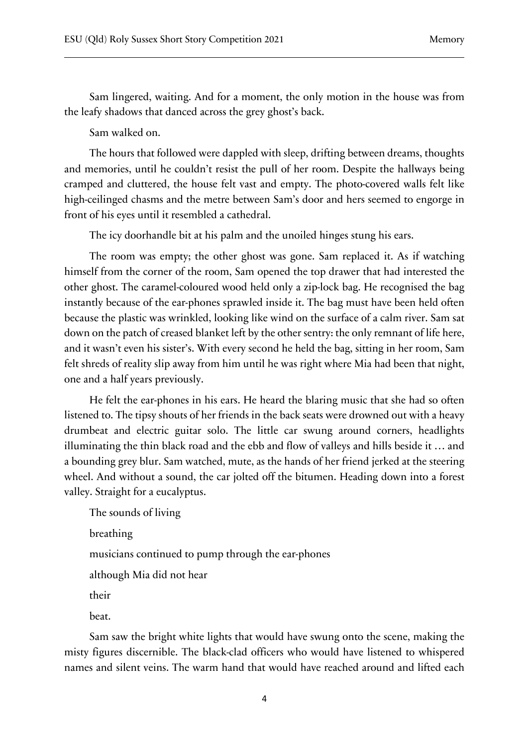Sam lingered, waiting. And for a moment, the only motion in the house was from the leafy shadows that danced across the grey ghost's back.

Sam walked on.

The hours that followed were dappled with sleep, drifting between dreams, thoughts and memories, until he couldn't resist the pull of her room. Despite the hallways being cramped and cluttered, the house felt vast and empty. The photo-covered walls felt like high-ceilinged chasms and the metre between Sam's door and hers seemed to engorge in front of his eyes until it resembled a cathedral.

The icy doorhandle bit at his palm and the unoiled hinges stung his ears.

The room was empty; the other ghost was gone. Sam replaced it. As if watching himself from the corner of the room, Sam opened the top drawer that had interested the other ghost. The caramel-coloured wood held only a zip-lock bag. He recognised the bag instantly because of the ear-phones sprawled inside it. The bag must have been held often because the plastic was wrinkled, looking like wind on the surface of a calm river. Sam sat down on the patch of creased blanket left by the other sentry: the only remnant of life here, and it wasn't even his sister's. With every second he held the bag, sitting in her room, Sam felt shreds of reality slip away from him until he was right where Mia had been that night, one and a half years previously.

He felt the ear-phones in his ears. He heard the blaring music that she had so often listened to. The tipsy shouts of her friends in the back seats were drowned out with a heavy drumbeat and electric guitar solo. The little car swung around corners, headlights illuminating the thin black road and the ebb and flow of valleys and hills beside it … and a bounding grey blur. Sam watched, mute, as the hands of her friend jerked at the steering wheel. And without a sound, the car jolted off the bitumen. Heading down into a forest valley. Straight for a eucalyptus.

The sounds of living breathing musicians continued to pump through the ear-phones although Mia did not hear their beat.

Sam saw the bright white lights that would have swung onto the scene, making the misty figures discernible. The black-clad officers who would have listened to whispered names and silent veins. The warm hand that would have reached around and lifted each